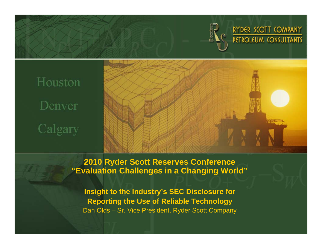

RYDER SCOTT COMPANY PETROLEUM CONSULTANTS

# Houston Denver Calgary



**2010 Ryder Scott Reserves Conference "Evaluation Challenges in a Changing World"**

**Insight to the Industry's SEC Disclosure for Reporting the Use of Reliable Technology** Dan Olds – Sr. Vice President, Ryder Scott Company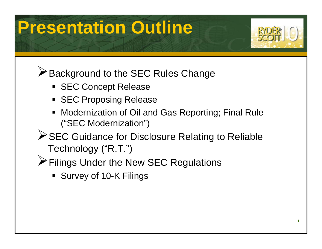## **Presentation Outline**



**EXA** Background to the SEC Rules Change

- **SEC Concept Release**
- **SEC Proposing Release**
- П Modernization of Oil and Gas Reporting; Final Rule ("SEC Modernization")
- **≻SEC Guidance for Disclosure Relating to Reliable** Technology ("R.T.")
- ¾Filings Under the New SEC Regulations
	- Survey of 10-K Filings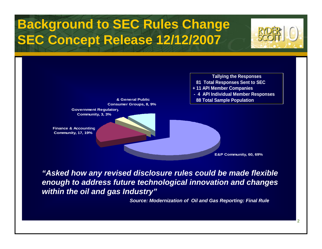### **Background to SEC Rules Change SEC Concept Release 12/12/2007**



2



*"Asked how any revised disclosure rules could be made flexible enough to address future technological innovation and changes within the oil and gas Industry"*

*Source: Modernization of Oil and Gas Reporting: Final Rule*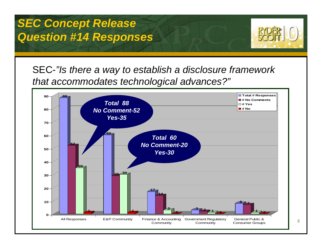

SEC-*"Is there a way to establish a disclosure framework that accommodates technological advances?"*

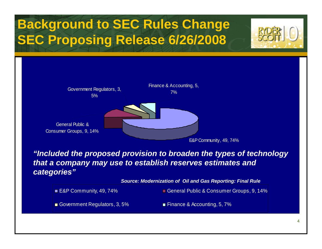### **Background to SEC Rules Change SEC Proposing Release 6/26/2008**



*"Included the proposed provision to broaden the types of technology that a company may use to establish reserves estimates and categories"*

*Source: Modernization of Oil and Gas Reporting: Final Rule* 

■ E&P Community, 49, 74% General Public & Consumer Groups, 9, 14%

Government Regulators, 3, 5% Finance & Accounting, 5, 7%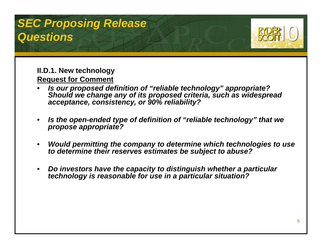#### *SEC Proposing Release Questions*



#### **II.D.1. New technology Request for Comment**

- • *Is our proposed definition of "reliable technology" appropriate? Should we change any of its proposed criteria, such as widespread acceptance, consistency, or 90% reliability?*
- • *Is the open-ended type of definition of "reliable technology" that we propose appropriate?*
- • *Would permitting the company to determine which technologies to use to determine their reserves estimates be subject to abuse?*
- • *Do investors have the capacity to distinguish whether a particular technology is reasonable for use in a particular situation?*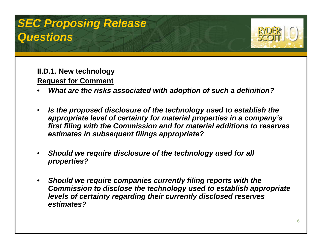#### *SEC Proposing Release Questions*



**II.D.1. New technology Request for Comment** 

- •*What are the risks associated with adoption of such a definition?*
- • *Is the proposed disclosure of the technology used to establish the appropriate level of certainty for material properties in a company's first filing with the Commission and for material additions to reserves estimates in subsequent filings appropriate?*
- • *Should we require disclosure of the technology used for all properties?*
- $\bullet$  *Should we require companies currently filing reports with the Commission to disclose the technology used to establish appropriate levels of certainty regarding their currently disclosed reserves estimates?*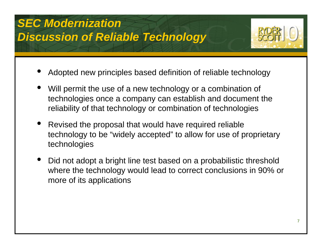### *SEC Modernization Discussion of Reliable Technology*



- •Adopted new principles based definition of reliable technology
- • Will permit the use of a new technology or a combination of technologies once a company can establish and document the reliability of that technology or combination of technologies
- • Revised the proposal that would have required reliable technology to be "widely accepted" to allow for use of proprietary technologies
- • Did not adopt a bright line test based on a probabilistic threshold where the technology would lead to correct conclusions in 90% or more of its applications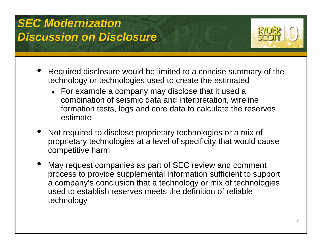

- • Required disclosure would be limited to a concise summary of the technology or technologies used to create the estimated
	- $\bullet$  For example a company may disclose that it used a combination of seismic data and interpretation, wireline formation tests, logs and core data to calculate the reserves estimate
- • Not required to disclose proprietary technologies or a mix of proprietary technologies at a level of specificity that would cause competitive harm
- • May request companies as part of SEC review and comment process to provide supplemental information sufficient to support a company's conclusion that a technology or mix of technologies used to establish reserves meets the definition of reliable technology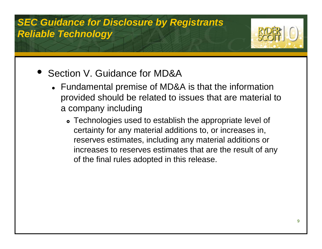#### *SEC Guidance for Disclosure by Registrants Reliable Technology*



- $\bullet$  Section V. Guidance for MD&A
	- $\bullet\;$  Fundamental premise of MD&A is that the information provided should be related to issues that are material to a company including
		- Technologies used to establish the appropriate level of certainty for any material additions to, or increases in, reserves estimates, including any material additions or increases to reserves estimates that are the result of any of the final rules adopted in this release.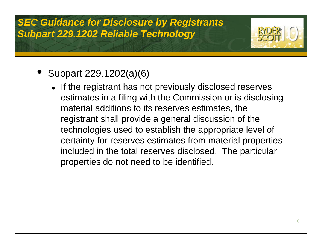#### *SEC Guidance for Disclosure by Registrants Subpart 229.1202 Reliable Technology*



- Subpart 229.1202(a)(6)
	- If the registrant has not previously disclosed reserves estimates in a filing with the Commission or is disclosing material additions to its reserves estimates, the registrant shall provide a general discussion of the technologies used to establish the appropriate level of certainty for reserves estimates from material properties included in the total reserves disclosed. The particular properties do not need to be identified.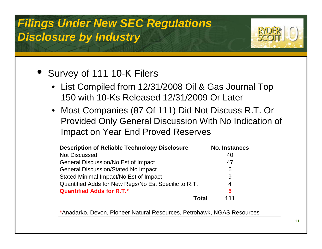

#### • Survey of 111 10-K Filers

- List Compiled from 12/31/2008 Oil & Gas Journal Top 150 with 10-Ks Released 12/31/2009 Or Later
- Most Companies (87 Of 111) Did Not Discuss R.T. Or Provided Only General Discussion With No Indication of Impact on Year End Proved Reserves

| <b>Description of Reliable Technology Disclosure</b> | <b>No. Instances</b> |
|------------------------------------------------------|----------------------|
| <b>Not Discussed</b>                                 | 40                   |
| <b>General Discussion/No Est of Impact</b>           | 47                   |
| <b>General Discussion/Stated No Impact</b>           | 6                    |
| Stated Minimal Impact/No Est of Impact               | 9                    |
| Quantified Adds for New Regs/No Est Specific to R.T. | 4                    |
| <b>Quantified Adds for R.T.*</b>                     | 5                    |
|                                                      | 111<br>Total         |

\*Anadarko, Devon, Pioneer Natural Resources, Petrohawk, NGAS Resources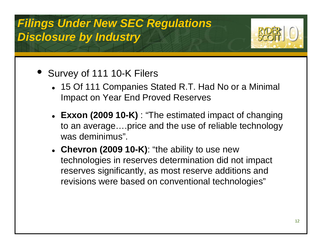

- Survey of 111 10-K Filers
	- 15 Of 111 Companies Stated R.T. Had No or a Minimal Impact on Year End Proved Reserves
	- Exxon (2009 10-K) : "The estimated impact of changing to an average….price and the use of reliable technology was deminimus".
	- **Chevron (2009 10-K)**: "the ability to use new technologies in reserves determination did not impact reserves significantly, as most reserve additions and revisions were based on conventional technologies"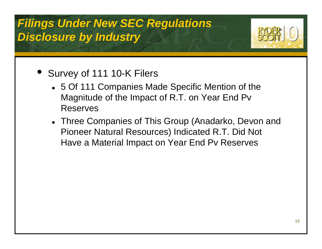

- Survey of 111 10-K Filers
	- 5 Of 111 Companies Made Specific Mention of the Magnitude of the Impact of R.T. on Year End Pv Reserves
	- Three Companies of This Group (Anadarko, Devon and Pioneer Natural Resources) Indicated R.T. Did Not Have a Material Impact on Year End Pv Reserves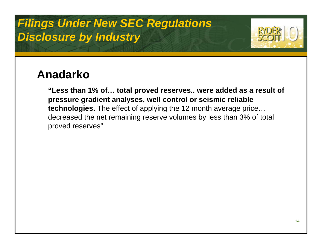

#### **Anadarko**

**"Less than 1% of… total proved reserves.. were added as a result of pressure gradient analyses, well control or seismic reliable technologies.** The effect of applying the 12 month average price… decreased the net remaining reserve volumes by less than 3% of total proved reserves"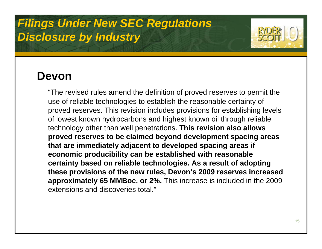

#### **Devon**

"The revised rules amend the definition of proved reserves to permit the use of reliable technologies to establish the reasonable certainty of proved reserves. This revision includes provisions for establishing levels of lowest known hydrocarbons and highest known oil through reliable technology other than well penetrations. **This revision also allows proved reserves to be claimed beyond development spacing areas that are immediately adjacent to developed spacing areas if economic producibility can be established with reasonable certainty based on reliable technologies. As a result of adopting these provisions of the new rules, Devon's 2009 reserves increased approximately 65 MMBoe, or 2%.** This increase is included in the 2009 extensions and discoveries total."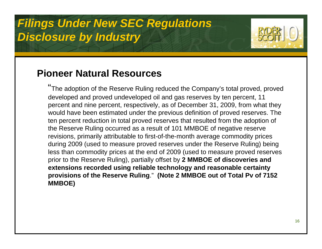

#### **Pioneer Natural Resources**

"The adoption of the Reserve Ruling reduced the Company's total proved, proved developed and proved undeveloped oil and gas reserves by ten percent, 11 percent and nine percent, respectively, as of December 31, 2009, from what they would have been estimated under the previous definition of proved reserves. The ten percent reduction in total proved reserves that resulted from the adoption of the Reserve Ruling occurred as a result of 101 MMBOE of negative reserve revisions, primarily attributable to first-of-the-month average commodity prices during 2009 (used to measure proved reserves under the Reserve Ruling) being less than commodity prices at the end of 2009 (used to measure proved reserves prior to the Reserve Ruling), partially offset by **2 MMBOE of discoveries and extensions recorded using reliable technology and reasonable certainty provisions of the Reserve Ruling**." **(Note 2 MMBOE out of Total Pv of 7152 MMBOE)**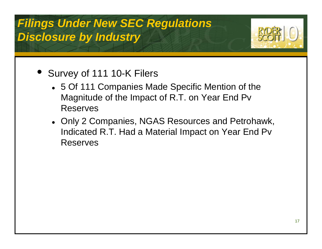

- Survey of 111 10-K Filers
	- 5 Of 111 Companies Made Specific Mention of the Magnitude of the Impact of R.T. on Year End Pv Reserves
	- Only 2 Companies, NGAS Resources and Petrohawk, Indicated R.T. Had a Material Impact on Year End Pv Reserves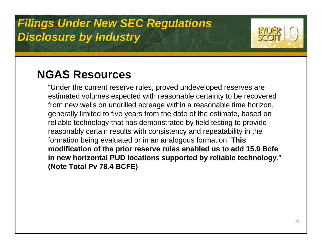

#### **NGAS Resources**

"Under the current reserve rules, proved undeveloped reserves are estimated volumes expected with reasonable certainty to be recovered from new wells on undrilled acreage within a reasonable time horizon, generally limited to five years from the date of the estimate, based on reliable technology that has demonstrated by field testing to provide reasonably certain results with consistency and repeatability in the formation being evaluated or in an analogous formation. **This modification of the prior reserve rules enabled us to add 15.9 Bcfe in new horizontal PUD locations supported by reliable technology**." **(Note Total Pv 78.4 BCFE)**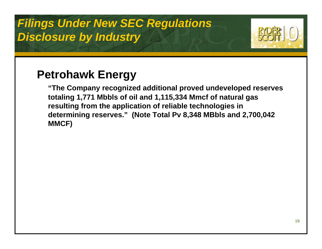

#### **Petrohawk Energy**

**"The Company recognized additional proved undeveloped reserves totaling 1,771 Mbbls of oil and 1,115,334 Mmcf of natural gas resulting from the application of reliable technologies in determining reserves." (Note Total Pv 8,348 MBbls and 2,700,042 MMCF)**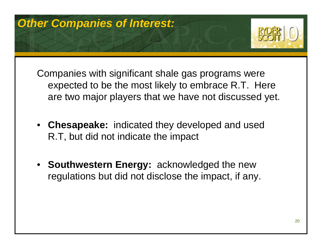

Companies with significant shale gas programs were expected to be the most likely to embrace R.T. Here are two major players that we have not discussed yet.

- **Chesapeake:** indicated they developed and used R.T, but did not indicate the impact
- **Southwestern Energy:** acknowledged the new regulations but did not disclose the impact, if any.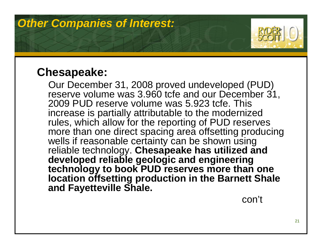

#### **Chesapeake:**

Our December 31, 2008 proved undeveloped (PUD) reserve volume was 3.960 tcfe and our December 31, 2009 PUD reserve volume was 5.923 tcfe. This increase is partially attributable to the modernized rules, which allow for the reporting of PUD reserves more than one direct spacing area offsetting producing wells if reasonable certainty can be shown using reliable technology. **Chesapeake has utilized and developed reliable geologic and engineering technology to book PUD reserves more than one location offsetting production in the Barnett Shale and Fayetteville Shale.**

con't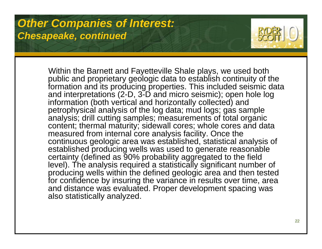

Within the Barnett and Fayetteville Shale plays, we used both public and proprietary geologic data to establish continuity of the formation and its producing properties. This included seismic data and interpretations (2-D, 3-D and micro seismic); open hole log information (both vertical and horizontally collected) and petrophysical analysis of the log data; mud logs; gas sample analysis; drill cutting samples; measurements of total organic content; thermal maturity; sidewall cores; whole cores and data measured from internal core analysis facility. Once the continuous geologic area was established, statistical analysis of established producing wells was used to generate reasonable certainty (defined as 90% probability aggregated to the field level). The analysis required a statistically significant number of producing wells within the defined geologic area and then tested for confidence by insuring the variance in results over time, area and distance was evaluated. Proper development spacing was also statistically analyzed.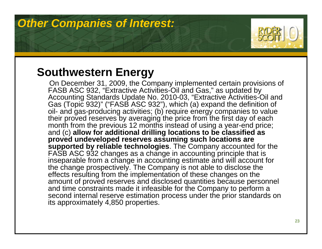

#### **Southwestern Energy**

On December 31, 2009, the Company implemented certain provisions of FASB ASC 932, "Extractive Activities-Oil and Gas," as updated by Accounting Standards Update No. 2010-03, "Extractive Activities-Oil and Gas (Topic 932)" ("FASB ASC 932"), which (a) expand the definition of oil- and gas-producing activities; (b) require energy companies to value their proved reserves by averaging the price from the first day of each month from the previous 12 months instead of using a year-end price; and (c) **allow for additional drilling locations to be classified as proved undeveloped reserves assuming such locations are supported by reliable technologies**. The Company accounted for the FASB ASC 932 changes as a change in accounting principle that is inseparable from a change in accounting estimate and will account for the change prospectively. The Company is not able to disclose the effects resulting from the implementation of these changes on the amount of proved reserves and disclosed quantities because personnel and time constraints made it infeasible for the Company to perform a second internal reserve estimation process under the prior standards on its approximately 4,850 properties.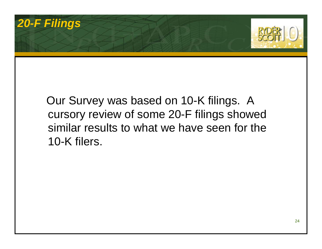### *20-F Filings*



#### Our Survey was based on 10-K filings. A cursory review of some 20-F filings showed similar results to what we have seen for the 10-K filers.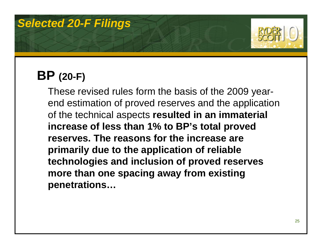

### **BP (20-F)**

These revised rules form the basis of the 2009 yearend estimation of proved reserves and the application of the technical aspects **resulted in an immaterial increase of less than 1% to BP's total proved reserves. The reasons for the increase are primarily due to the application of reliable technologies and inclusion of proved reserves more than one spacing away from existing penetrations…**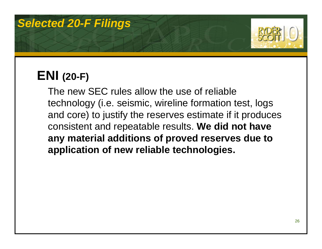

### **ENI (20-F)**

The new SEC rules allow the use of reliable technology (i.e. seismic, wireline formation test, logs and core) to justify the reserves estimate if it produces consistent and repeatable results. **We did not have any material additions of proved reserves due to application of new reliable technologies.**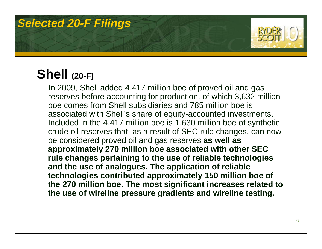

### **Shell (20-F)**

In 2009, Shell added 4,417 million boe of proved oil and gas reserves before accounting for production, of which 3,632 million boe comes from Shell subsidiaries and 785 million boe is associated with Shell's share of equity-accounted investments. Included in the 4,417 million boe is 1,630 million boe of synthetic crude oil reserves that, as a result of SEC rule changes, can now be considered proved oil and gas reserves **as well as approximately 270 million boe associated with other SEC rule changes pertaining to the use of reliable technologies and the use of analogues. The application of reliable technologies contributed approximately 150 million boe of the 270 million boe. The most significant increases related to the use of wireline pressure gradients and wireline testing.**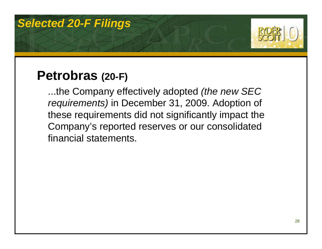

### **Petrobras (20-F)**

...the Company effectively adopted *(the new SEC requirements)* in December 31, 2009. Adoption of these requirements did not significantly impact the Company's reported reserves or our consolidated financial statements.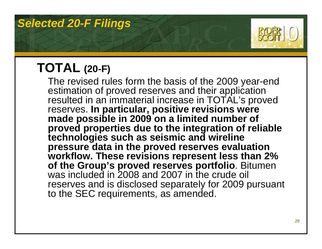

## **TOTAL (20-F)**

The revised rules form the basis of the 2009 year-end estimation of proved reserves and their application resulted in an immaterial increase in TOTAL's proved reserves. **In particular, positive revisions were**  made possible in 2009 on a limited number of **proved properties due to the integration of reliable technologies such as seismic and wireline pressure data in the proved reserves evaluation workflow. These revisions represent less than 2% of the Group's proved reserves portfolio**. Bitumen was included in 2008 and 2007 in the crude oil reserves and is disclosed separately for 2009 pursuant to the SEC requirements, as amended.